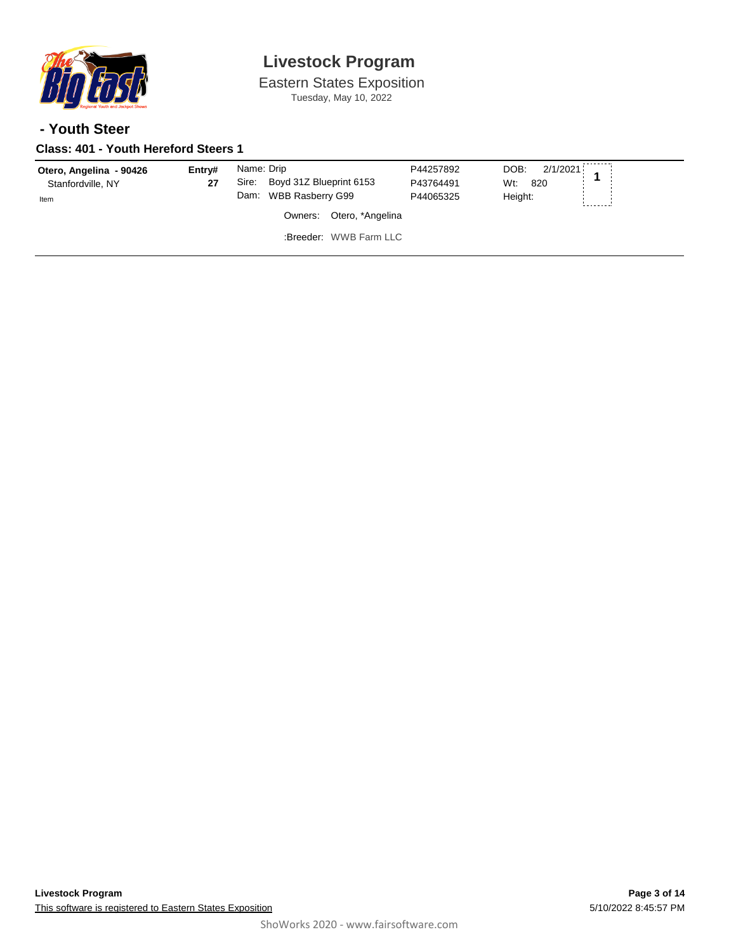

Eastern States Exposition Tuesday, May 10, 2022

### **- Youth Steer**

### **Class: 401 - Youth Hereford Steers 1**

| Otero, Angelina - 90426<br>Stanfordville, NY<br>Item | Entrv#<br>27 | Name: Drip<br>Boyd 31Z Blueprint 6153<br>Sire:<br>Dam: WBB Rasberry G99 | P44257892<br>P43764491<br>P44065325 | DOB:<br>2/1/2021<br>Wt:<br>820<br>Height: |
|------------------------------------------------------|--------------|-------------------------------------------------------------------------|-------------------------------------|-------------------------------------------|
|                                                      |              | Otero, *Angelina<br>Owners:                                             |                                     |                                           |
|                                                      |              | :Breeder: WWB Farm LLC                                                  |                                     |                                           |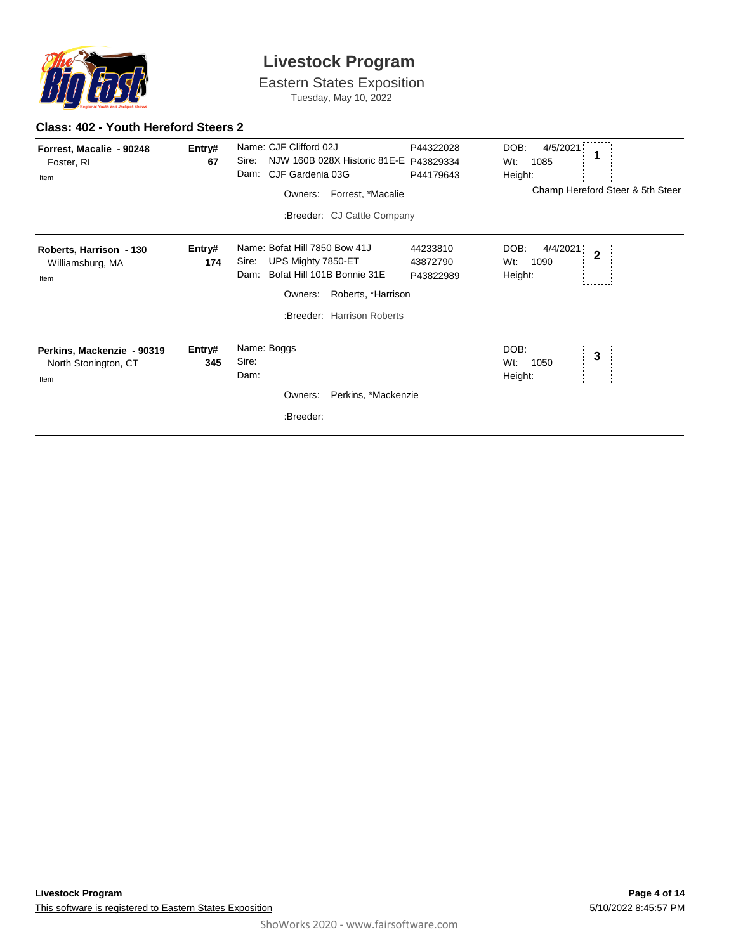

Eastern States Exposition Tuesday, May 10, 2022

#### **Class: 402 - Youth Hereford Steers 2**

| Forrest, Macalie - 90248<br>Foster, RI<br>Item             | Entry#<br>67  | Name: CJF Clifford 02J<br>NJW 160B 028X Historic 81E-E P43829334<br>Sire:<br>CJF Gardenia 03G<br>Dam:<br>Forrest, *Macalie<br>Owners:<br>:Breeder: CJ Cattle Company | P44322028<br>P44179643            | DOB:<br>4/5/2021<br>Wt:<br>1085<br>Height:<br>Champ Hereford Steer & 5th Steer |
|------------------------------------------------------------|---------------|----------------------------------------------------------------------------------------------------------------------------------------------------------------------|-----------------------------------|--------------------------------------------------------------------------------|
| Roberts, Harrison - 130<br>Williamsburg, MA<br>Item        | Entry#<br>174 | Name: Bofat Hill 7850 Bow 41J<br>UPS Mighty 7850-ET<br>Sire:<br>Bofat Hill 101B Bonnie 31E<br>Dam:<br>Roberts, *Harrison<br>Owners:<br>:Breeder: Harrison Roberts    | 44233810<br>43872790<br>P43822989 | DOB:<br>4/4/2021<br>$\mathbf{2}$<br>1090<br>Wt:<br>Height:                     |
| Perkins, Mackenzie - 90319<br>North Stonington, CT<br>Item | Entry#<br>345 | Name: Boggs<br>Sire:<br>Dam:<br>Perkins, *Mackenzie<br>Owners:<br>:Breeder:                                                                                          |                                   | DOB:<br>3<br>Wt:<br>1050<br>Height:                                            |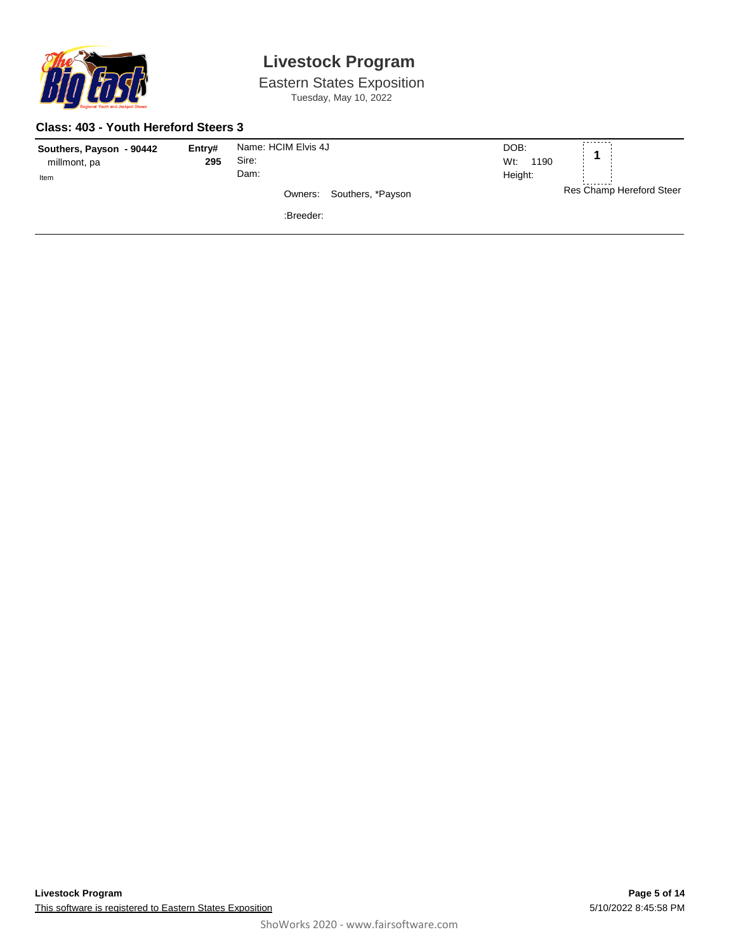

Eastern States Exposition Tuesday, May 10, 2022

#### **Class: 403 - Youth Hereford Steers 3**

| Southers, Payson - 90442 | Entry# | Name: HCIM Elvis 4J          | --------<br>DOB:         |
|--------------------------|--------|------------------------------|--------------------------|
| millmont, pa             | 295    | Sire:                        | Wt:<br>1190              |
| Item                     |        | Dam:                         | Height:                  |
|                          |        | Southers, *Payson<br>Owners: | Res Champ Hereford Steer |
|                          |        | :Breeder:                    |                          |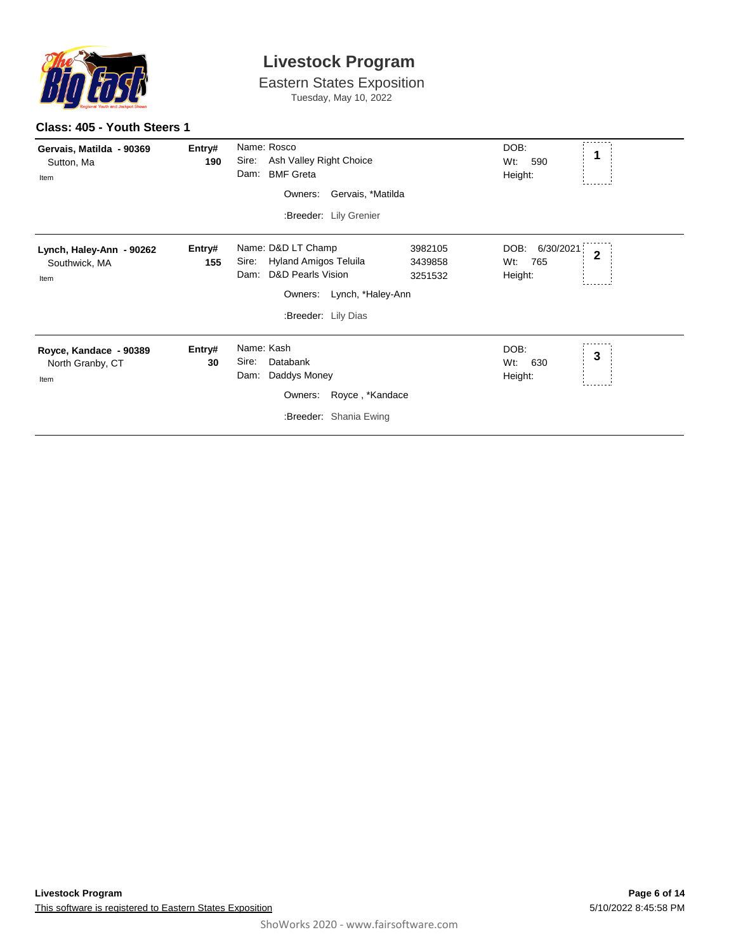

Eastern States Exposition Tuesday, May 10, 2022

| Gervais, Matilda - 90369<br>Sutton, Ma<br>Item     | Entry#<br>190 | Name: Rosco<br>Sire:<br>Ash Valley Right Choice<br>Dam:<br><b>BMF Greta</b><br>Gervais, *Matilda<br>Owners:<br>:Breeder: Lily Grenier                                                | DOB:<br>1<br>Wt:<br>590<br>Height:                           |
|----------------------------------------------------|---------------|--------------------------------------------------------------------------------------------------------------------------------------------------------------------------------------|--------------------------------------------------------------|
| Lynch, Haley-Ann - 90262<br>Southwick, MA<br>Item  | Entry#<br>155 | Name: D&D LT Champ<br>3982105<br>Hyland Amigos Teluila<br>Sire:<br>3439858<br><b>D&amp;D Pearls Vision</b><br>Dam:<br>3251532<br>Lynch, *Haley-Ann<br>Owners:<br>:Breeder: Lily Dias | DOB:<br>6/30/2021<br>$\overline{2}$<br>Wt:<br>765<br>Height: |
| Royce, Kandace - 90389<br>North Granby, CT<br>Item | Entry#<br>30  | Name: Kash<br>Sire:<br>Databank<br>Daddys Money<br>Dam:<br>Owners:<br>Royce, *Kandace<br>:Breeder: Shania Ewing                                                                      | DOB:<br>3<br>Wt.<br>630<br>Height:                           |

**Class: 405 - Youth Steers 1**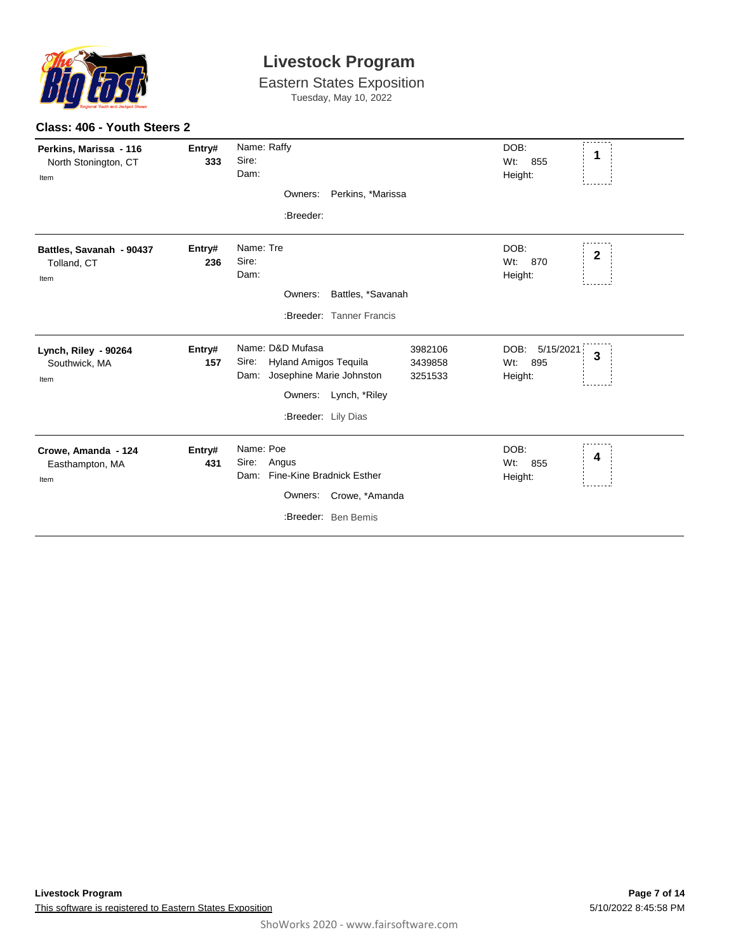

Eastern States Exposition Tuesday, May 10, 2022

| Perkins, Marissa - 116<br>North Stonington, CT<br>Item | Entry#<br>333 | Name: Raffy<br>Sire:<br>Dam:<br>Owners: Perkins, *Marissa<br>:Breeder:                                                                                                         | DOB:<br>1<br>Wt:<br>855<br>Height:                 |
|--------------------------------------------------------|---------------|--------------------------------------------------------------------------------------------------------------------------------------------------------------------------------|----------------------------------------------------|
| Battles, Savanah - 90437<br>Tolland, CT<br>Item        | Entry#<br>236 | Name: Tre<br>Sire:<br>Dam:<br>Battles, *Savanah<br>Owners:<br>:Breeder: Tanner Francis                                                                                         | DOB:<br>$\mathbf{2}$<br>Wt:<br>870<br>Height:      |
| Lynch, Riley - 90264<br>Southwick, MA<br>Item          | Entry#<br>157 | Name: D&D Mufasa<br>3982106<br><b>Hyland Amigos Tequila</b><br>Sire:<br>3439858<br>Josephine Marie Johnston<br>Dam:<br>3251533<br>Owners: Lynch, *Riley<br>:Breeder: Lily Dias | DOB:<br>5/15/2021<br>3<br>$Wt$ :<br>895<br>Height: |
| Crowe, Amanda - 124<br>Easthampton, MA<br>Item         | Entry#<br>431 | Name: Poe<br>Sire:<br>Angus<br>Fine-Kine Bradnick Esther<br>Dam:<br>Owners: Crowe, *Amanda<br>:Breeder: Ben Bemis                                                              | DOB:<br>4<br>Wt:<br>855<br>Height:                 |

### **Class: 406 - Youth Steers 2**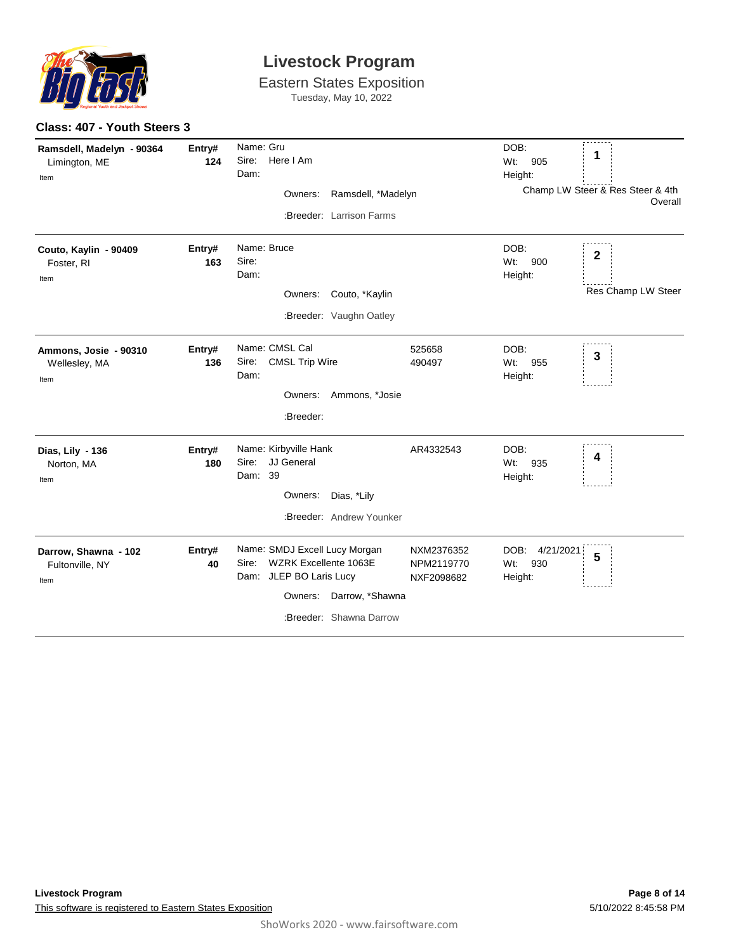

Eastern States Exposition Tuesday, May 10, 2022

| Ramsdell, Madelyn - 90364<br>Limington, ME<br>Item | Entry#<br>124 | Name: Gru<br>Sire:<br>Here I Am<br>Dam:<br>Ramsdell, *Madelyn<br>Owners:<br>:Breeder: Larrison Farms                                             |                                        | DOB:<br>Wt:<br>905<br>Height:              | 1<br>Champ LW Steer & Res Steer & 4th<br>Overall |
|----------------------------------------------------|---------------|--------------------------------------------------------------------------------------------------------------------------------------------------|----------------------------------------|--------------------------------------------|--------------------------------------------------|
| Couto, Kaylin - 90409<br>Foster, RI<br>Item        | Entry#<br>163 | Name: Bruce<br>Sire:<br>Dam:<br>Owners: Couto, *Kaylin<br>:Breeder: Vaughn Oatley                                                                |                                        | DOB:<br>Wt:<br>900<br>Height:              | $\mathbf{2}$<br>Res Champ LW Steer               |
| Ammons, Josie - 90310<br>Wellesley, MA<br>Item     | Entry#<br>136 | Name: CMSL Cal<br>Sire:<br><b>CMSL Trip Wire</b><br>Dam:<br>Owners: Ammons, *Josie<br>:Breeder:                                                  | 525658<br>490497                       | DOB:<br>Wt:<br>955<br>Height:              | 3                                                |
| Dias, Lily - 136<br>Norton, MA<br>Item             | Entry#<br>180 | Name: Kirbyville Hank<br>JJ General<br>Sire:<br>Dam: 39<br>Dias, *Lily<br>Owners:<br>:Breeder: Andrew Younker                                    | AR4332543                              | DOB:<br>935<br>Wt:<br>Height:              | 4                                                |
| Darrow, Shawna - 102<br>Fultonville, NY<br>Item    | Entry#<br>40  | Name: SMDJ Excell Lucy Morgan<br>WZRK Excellente 1063E<br>Sire:<br>Dam: JLEP BO Laris Lucy<br>Owners: Darrow, *Shawna<br>:Breeder: Shawna Darrow | NXM2376352<br>NPM2119770<br>NXF2098682 | DOB:<br>4/21/2021<br>930<br>Wt:<br>Height: | 5                                                |

**Class: 407 - Youth Steers 3**

-------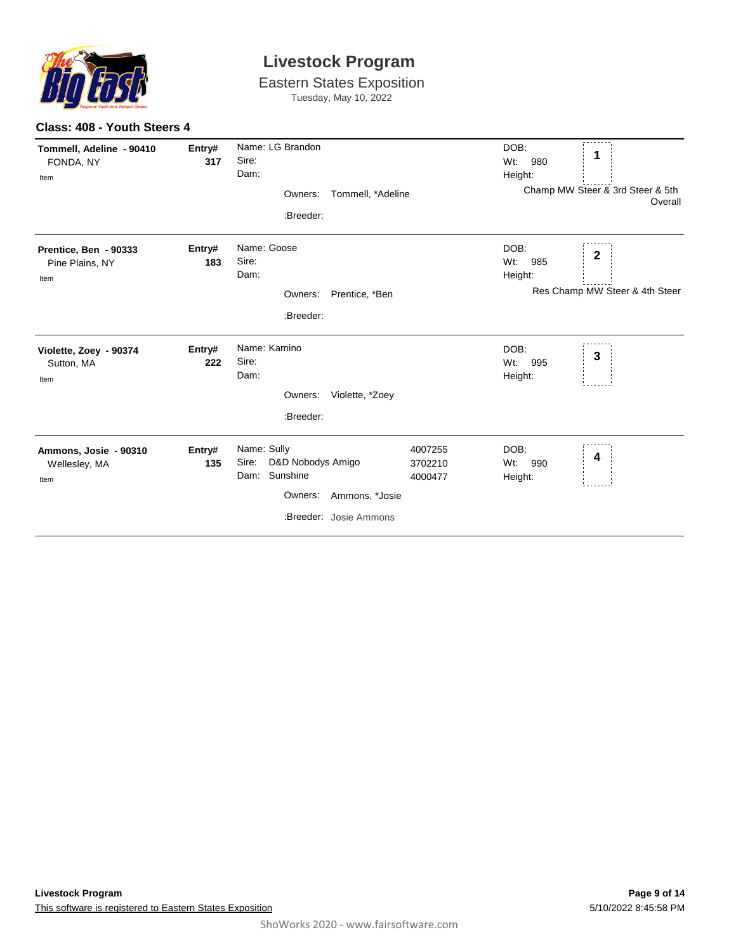

| Tommell, Adeline - 90410<br>FONDA, NY<br>Item    | Entry#<br>317 | Name: LG Brandon<br>Sire:<br>Dam:<br>Owners:<br>:Breeder:                                                            | Tommell, *Adeline             | DOB:<br>Wt:<br>980<br>Height:    | 1<br>Champ MW Steer & 3rd Steer & 5th<br>Overall |
|--------------------------------------------------|---------------|----------------------------------------------------------------------------------------------------------------------|-------------------------------|----------------------------------|--------------------------------------------------|
| Prentice, Ben - 90333<br>Pine Plains, NY<br>Item | Entry#<br>183 | Name: Goose<br>Sire:<br>Dam:<br>Prentice, *Ben<br>Owners:<br>:Breeder:                                               |                               | DOB:<br>$Wt$ :<br>985<br>Height: | 2<br>Res Champ MW Steer & 4th Steer              |
| Violette, Zoey - 90374<br>Sutton, MA<br>Item     | Entry#<br>222 | Name: Kamino<br>Sire:<br>Dam:<br>Owners: Violette, *Zoey<br>:Breeder:                                                |                               | DOB:<br>Wt:<br>995<br>Height:    | 3                                                |
| Ammons, Josie - 90310<br>Wellesley, MA<br>Item   | Entry#<br>135 | Name: Sully<br>D&D Nobodys Amigo<br>Sire:<br>Sunshine<br>Dam:<br>Ammons, *Josie<br>Owners:<br>:Breeder: Josie Ammons | 4007255<br>3702210<br>4000477 | DOB:<br>Wt:<br>990<br>Height:    | 4                                                |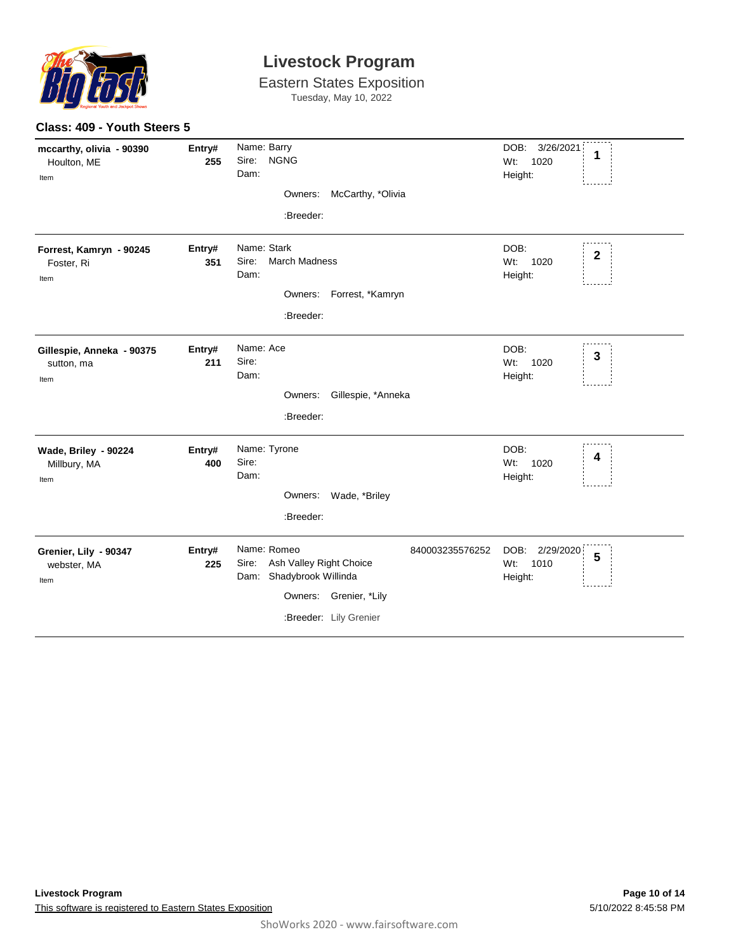

|                                                 | Class: 409 - Youth Steers 5 |                                                                                                                                                    |                                                  |  |  |  |
|-------------------------------------------------|-----------------------------|----------------------------------------------------------------------------------------------------------------------------------------------------|--------------------------------------------------|--|--|--|
| mccarthy, olivia - 90390<br>Houlton, ME<br>Item | Entry#<br>255               | Name: Barry<br>Sire: NGNG<br>Dam:<br>Owners: McCarthy, *Olivia<br>:Breeder:                                                                        | DOB: 3/26/2021<br>1<br>Wt:<br>1020<br>Height:    |  |  |  |
| Forrest, Kamryn - 90245<br>Foster, Ri<br>Item   | Entry#<br>351               | Name: Stark<br><b>March Madness</b><br>Sire:<br>Dam:<br>Owners: Forrest, *Kamryn<br>:Breeder:                                                      | DOB:<br>$\mathbf 2$<br>1020<br>$Wt$ :<br>Height: |  |  |  |
| Gillespie, Anneka - 90375<br>sutton, ma<br>Item | Entry#<br>211               | Name: Ace<br>Sire:<br>Dam:<br>Owners: Gillespie, *Anneka<br>:Breeder:                                                                              | DOB:<br>3<br>Wt: 1020<br>Height:                 |  |  |  |
| Wade, Briley - 90224<br>Millbury, MA<br>Item    | Entry#<br>400               | Name: Tyrone<br>Sire:<br>Dam:<br>Owners: Wade, *Briley<br>:Breeder:                                                                                | DOB:<br>4<br>Wt: 1020<br>Height:                 |  |  |  |
| Grenier, Lily - 90347<br>webster, MA<br>Item    | Entry#<br>225               | Name: Romeo<br>840003235576252<br>Ash Valley Right Choice<br>Sire:<br>Dam: Shadybrook Willinda<br>Owners: Grenier, *Lily<br>:Breeder: Lily Grenier | DOB: 2/29/2020<br>5<br>1010<br>Wt:<br>Height:    |  |  |  |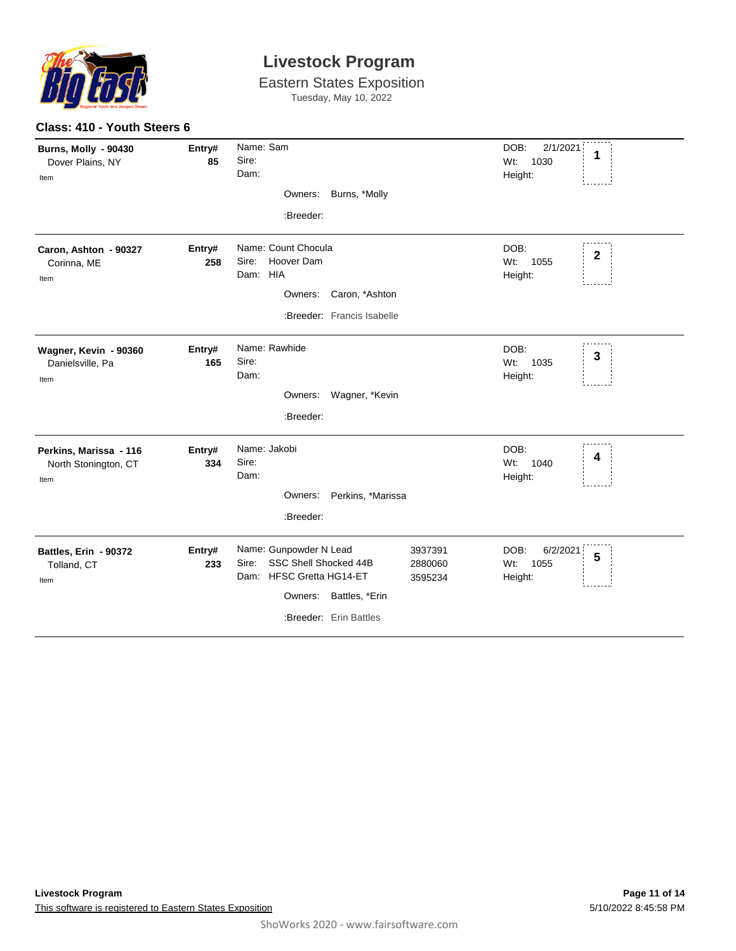

| Class: 410 - Youth Steers 6                             |               |                                                                                                                                                                           |                                                 |  |
|---------------------------------------------------------|---------------|---------------------------------------------------------------------------------------------------------------------------------------------------------------------------|-------------------------------------------------|--|
| <b>Burns, Molly - 90430</b><br>Dover Plains, NY<br>Item | Entry#<br>85  | Name: Sam<br>Sire:<br>Dam:<br>Owners: Burns, *Molly<br>:Breeder:                                                                                                          | DOB:<br>2/1/2021<br>1<br>Wt:<br>1030<br>Height: |  |
| Caron, Ashton - 90327<br>Corinna, ME<br>Item            | Entry#<br>258 | Name: Count Chocula<br>Sire:<br>Hoover Dam<br>Dam: HIA<br>Owners: Caron, *Ashton<br>:Breeder: Francis Isabelle                                                            | DOB:<br>$\boldsymbol{2}$<br>Wt: 1055<br>Height: |  |
| Wagner, Kevin - 90360<br>Danielsville, Pa<br>Item       | Entry#<br>165 | Name: Rawhide<br>Sire:<br>Dam:<br>Owners: Wagner, *Kevin<br>:Breeder:                                                                                                     | DOB:<br>$\mathbf{3}$<br>Wt: 1035<br>Height:     |  |
| Perkins, Marissa - 116<br>North Stonington, CT<br>Item  | Entry#<br>334 | Name: Jakobi<br>Sire:<br>Dam:<br>Owners: Perkins, *Marissa<br>:Breeder:                                                                                                   | DOB:<br>4<br>Wt: 1040<br>Height:                |  |
| Battles, Erin - 90372<br>Tolland, CT<br>Item            | Entry#<br>233 | Name: Gunpowder N Lead<br>3937391<br>SSC Shell Shocked 44B<br>Sire:<br>2880060<br>Dam: HFSC Gretta HG14-ET<br>3595234<br>Owners: Battles, *Erin<br>:Breeder: Erin Battles | DOB:<br>6/2/2021<br>5<br>Wt:<br>1055<br>Height: |  |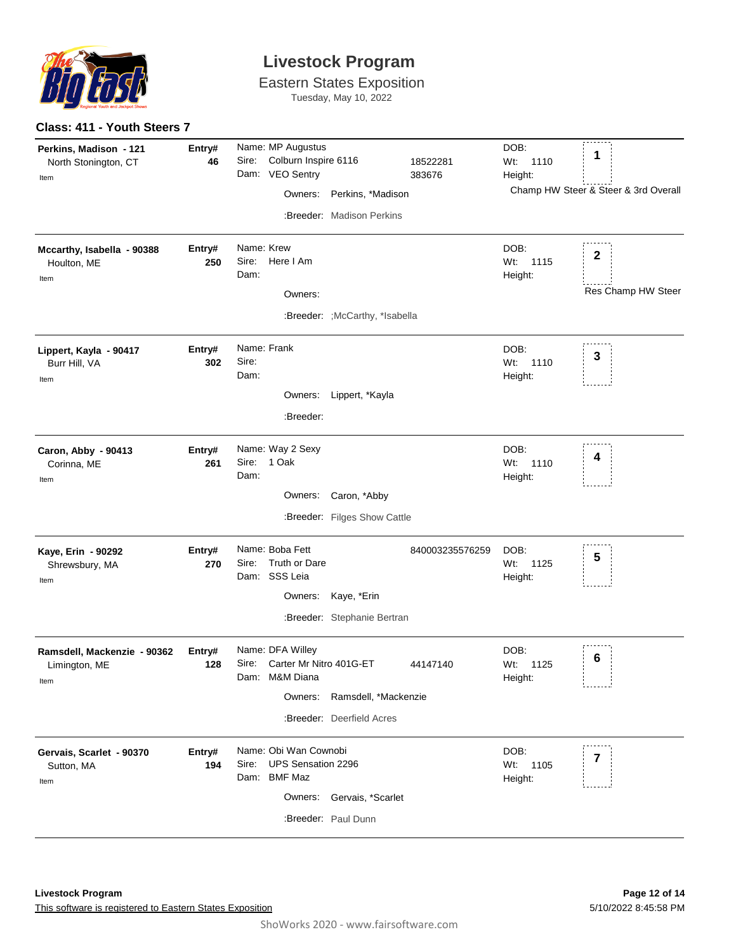

**Class: 411 - Youth Steers 7**

### **Livestock Program**

| Perkins, Madison - 121<br>North Stonington, CT<br>Item<br>Mccarthy, Isabella - 90388<br>Houlton, ME<br>Item | Entry#<br>46<br>Entry#<br>250 | Sire:<br>Name: Krew<br>Sire:<br>Dam: | Name: MP Augustus<br>Colburn Inspire 6116<br>Dam: VEO Sentry<br>Owners:<br>Here I Am<br>Owners: | Perkins, *Madison<br>:Breeder: Madison Perkins             | 18522281<br>383676 | DOB:<br>Wt: 1110<br>Height:<br>DOB:<br>Wt: 1115<br>Height: | 1<br>Champ HW Steer & Steer & 3rd Overall<br>$\mathbf{2}$<br>Res Champ HW Steer |
|-------------------------------------------------------------------------------------------------------------|-------------------------------|--------------------------------------|-------------------------------------------------------------------------------------------------|------------------------------------------------------------|--------------------|------------------------------------------------------------|---------------------------------------------------------------------------------|
| Lippert, Kayla - 90417<br>Burr Hill, VA<br>Item                                                             | Entry#<br>302                 | Sire:<br>Dam:                        | Name: Frank<br>:Breeder:                                                                        | :Breeder: ; McCarthy, *Isabella<br>Owners: Lippert, *Kayla |                    | DOB:<br>Wt: 1110<br>Height:                                | 3                                                                               |
| Caron, Abby - 90413<br>Corinna, ME<br>Item                                                                  | Entry#<br>261                 | Dam:                                 | Name: Way 2 Sexy<br>Sire: 1 Oak                                                                 | Owners: Caron, *Abby<br>:Breeder: Filges Show Cattle       |                    | DOB:<br>Wt: 1110<br>Height:                                | 4                                                                               |
| Kaye, Erin - 90292<br>Shrewsbury, MA<br>Item                                                                | Entry#<br>270                 | Sire:                                | Name: Boba Fett<br>Truth or Dare<br>Dam: SSS Leia                                               | Owners: Kaye, *Erin<br>:Breeder: Stephanie Bertran         | 840003235576259    | DOB:<br>Wt: 1125<br>Height:                                | 5                                                                               |
| Ramsdell, Mackenzie - 90362<br>Limington, ME<br>Item                                                        | Entry#<br>128                 |                                      | Name: DFA Willey<br>Sire: Carter Mr Nitro 401G-ET<br>Dam: M&M Diana<br>Owners:                  | Ramsdell, *Mackenzie<br>:Breeder: Deerfield Acres          | 44147140           | DOB:<br>Wt:<br>1125<br>Height:                             | 6                                                                               |
| Gervais, Scarlet - 90370<br>Sutton, MA<br>Item                                                              | Entry#<br>194                 | Sire:                                | Name: Obi Wan Cownobi<br><b>UPS Sensation 2296</b><br>Dam: BMF Maz<br>Owners:                   | Gervais, *Scarlet<br>:Breeder: Paul Dunn                   |                    | DOB:<br>Wt: 1105<br>Height:                                | 7                                                                               |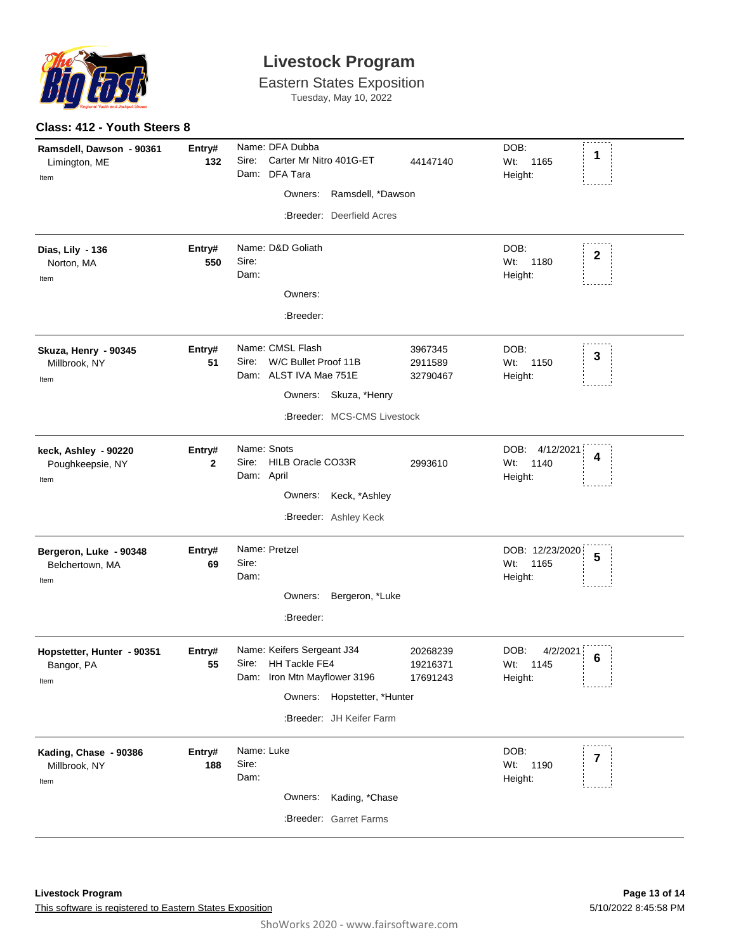

|  | Class: 412 - Youth Steers 8 |  |
|--|-----------------------------|--|
|  |                             |  |

| Ramsdell, Dawson - 90361   | Entry#       | Name: DFA Dubba                                                             | DOB:                     |
|----------------------------|--------------|-----------------------------------------------------------------------------|--------------------------|
| Limington, ME              | 132          | Sire:<br>Carter Mr Nitro 401G-ET<br>44147140                                | 1<br>Wt: 1165            |
| Item                       |              | Dam: DFA Tara                                                               | Height:                  |
|                            |              | Owners:<br>Ramsdell, *Dawson                                                |                          |
|                            |              | :Breeder: Deerfield Acres                                                   |                          |
| Dias, Lily - 136           | Entry#       | Name: D&D Goliath                                                           | DOB:                     |
| Norton, MA                 | 550          | Sire:                                                                       | $\mathbf{2}$<br>Wt: 1180 |
| Item                       |              | Dam:                                                                        | Height:                  |
|                            |              | Owners:                                                                     |                          |
|                            |              | :Breeder:                                                                   |                          |
| Skuza, Henry - 90345       | Entry#       | Name: CMSL Flash<br>3967345                                                 | DOB:                     |
| Millbrook, NY              | 51           | W/C Bullet Proof 11B<br>Sire:<br>2911589                                    | 3<br>Wt: 1150            |
| Item                       |              | Dam: ALST IVA Mae 751E<br>32790467                                          | Height:                  |
|                            |              | Owners: Skuza, *Henry                                                       |                          |
|                            |              | :Breeder: MCS-CMS Livestock                                                 |                          |
| keck, Ashley - 90220       | Entry#       | Name: Snots                                                                 | DOB: 4/12/2021           |
| Poughkeepsie, NY           | $\mathbf{2}$ | HILB Oracle CO33R<br>Sire:<br>2993610                                       | 4<br>1140<br>Wt:         |
| Item                       |              | Dam: April                                                                  | Height:                  |
|                            |              | Owners: Keck, *Ashley                                                       |                          |
|                            |              | :Breeder: Ashley Keck                                                       |                          |
| Bergeron, Luke - 90348     | Entry#       | Name: Pretzel                                                               | DOB: 12/23/2020          |
| Belchertown, MA            | 69           | Sire:                                                                       | 5<br>Wt:<br>1165         |
| Item                       |              | Dam:                                                                        | Height:                  |
|                            |              | Owners: Bergeron, *Luke                                                     |                          |
|                            |              | :Breeder:                                                                   |                          |
|                            |              |                                                                             |                          |
| Hopstetter, Hunter - 90351 | Entry#       | Name: Keifers Sergeant J34<br>20268239                                      | DOB:<br>4/2/2021<br>6    |
| Bangor, PA                 | 55           | Sire: HH Tackle FE4<br>19216371<br>Dam: Iron Mtn Mayflower 3196<br>17691243 | Wt:<br>1145              |
| Item                       |              |                                                                             | Height:                  |
|                            |              | Owners: Hopstetter, *Hunter                                                 |                          |
|                            |              | :Breeder: JH Keifer Farm                                                    |                          |
| Kading, Chase - 90386      | Entry#       | Name: Luke                                                                  | DOB:                     |
| Millbrook, NY              | 188          | Sire:                                                                       | 7<br>Wt:<br>1190         |
| Item                       |              | Dam:                                                                        | Height:                  |
|                            |              | Kading, *Chase<br>Owners:                                                   |                          |
|                            |              | :Breeder: Garret Farms                                                      |                          |